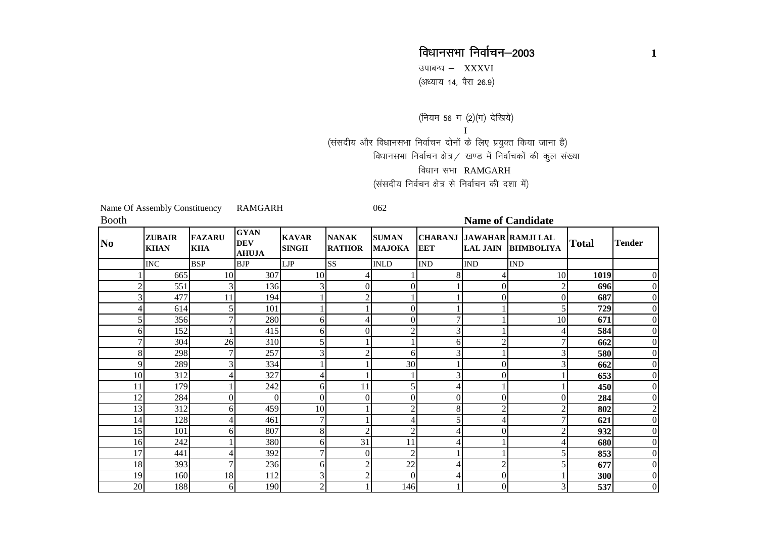उपाबन्ध  $-$  XXXVI (अध्याय 14, पैरा 26.9)

(नियम 56 ग (2)(ग) देखिये) I(संसदीय और विधानसभा निर्वाचन दोनों के लिए प्रयुक्त किया जाना है) विधानसभा निर्वाचन क्षेत्र $\angle$  खण्ड में निर्वाचकों की कुल संख्या विधान सभा RAMGARH (ससदीय निर्वचन क्षेत्र से निर्वाचन की दशा में)

Name Of Assembly Constituency RAMGARH 062

| Booth    |                              |                             |                                           |                              |                               |                               |                              |                 | <b>Name of Candidate</b>                     |              |               |
|----------|------------------------------|-----------------------------|-------------------------------------------|------------------------------|-------------------------------|-------------------------------|------------------------------|-----------------|----------------------------------------------|--------------|---------------|
| $\bf No$ | <b>ZUBAIR</b><br><b>KHAN</b> | <b>FAZARU</b><br><b>KHA</b> | <b>GYAN</b><br><b>DEV</b><br><b>AHUJA</b> | <b>KAVAR</b><br><b>SINGH</b> | <b>NANAK</b><br><b>RATHOR</b> | <b>SUMAN</b><br><b>MAJOKA</b> | <b>CHARANJ</b><br><b>EET</b> | <b>LAL JAIN</b> | <b>JAWAHAR RAMJI LAL</b><br><b>BHMBOLIYA</b> | <b>Total</b> | <b>Tender</b> |
|          | $\rm{INC}$                   | <b>BSP</b>                  | <b>BJP</b>                                | <b>LJP</b>                   | <b>SS</b>                     | <b>INLD</b>                   | $\mathop{\rm IND}\nolimits$  | <b>IND</b>      | <b>IND</b>                                   |              |               |
|          | 665                          | 10                          | 307                                       | 10                           |                               |                               |                              |                 | 10                                           | 1019         |               |
|          | 551                          | $\overline{3}$              | 136                                       |                              | 0                             |                               |                              | 0               |                                              | 696          |               |
|          | 477                          | 11                          | 194                                       |                              |                               |                               |                              | 0               |                                              | 687          |               |
|          | 614                          |                             | 101                                       |                              |                               |                               |                              |                 |                                              | 729          |               |
|          | 356                          |                             | 280                                       | 61                           |                               | 0                             |                              |                 | 10                                           | 671          |               |
|          | 152<br>61                    |                             | 415                                       | 61                           | $\Omega$                      |                               |                              |                 |                                              | 584          |               |
|          | 304                          | 26                          | 310                                       |                              |                               |                               | 6                            |                 |                                              | 662          |               |
|          | 298<br>8                     | 7                           | 257                                       |                              |                               | 6                             |                              |                 |                                              | 580          |               |
|          | 289<br>9                     | 3                           | 334                                       |                              |                               | 30                            |                              |                 |                                              | 662          |               |
| 10       | 312                          | 4                           | 327                                       |                              |                               |                               |                              | 0               |                                              | 653          |               |
| 11       | 179                          |                             | 242                                       | 6                            | 11                            |                               |                              |                 |                                              | 450          |               |
| 12       | 284                          | $\Omega$                    | $\Omega$                                  | $\Omega$                     | $\Omega$                      | $\Omega$                      | $\Omega$                     | 0               |                                              | 284          |               |
| 13       | 312                          | 61                          | 459                                       | 10                           |                               |                               | 8                            |                 | ↑                                            | 802          |               |
| 14       | 128                          | 4                           | 461                                       | 7                            |                               |                               |                              |                 |                                              | 621          |               |
| 15       | 101                          | 61                          | 807                                       | 8                            |                               |                               |                              |                 | ◠                                            | 932          |               |
| 16       | 242                          |                             | 380                                       | 6                            | 31                            | 11                            |                              |                 |                                              | 680          |               |
| 17       | 441                          |                             | 392                                       |                              | $\Omega$                      |                               |                              |                 |                                              | 853          |               |
| 18       | 393                          | 7                           | 236                                       | 61                           |                               | 22                            |                              |                 |                                              | 677          |               |
| 19       | 160                          | 18                          | 112                                       |                              |                               | $\Omega$                      |                              | 0               |                                              | 300          |               |
| 20       | 188                          | 61                          | 190                                       | ◠                            |                               | 146                           |                              | 0               | 3                                            | 537          |               |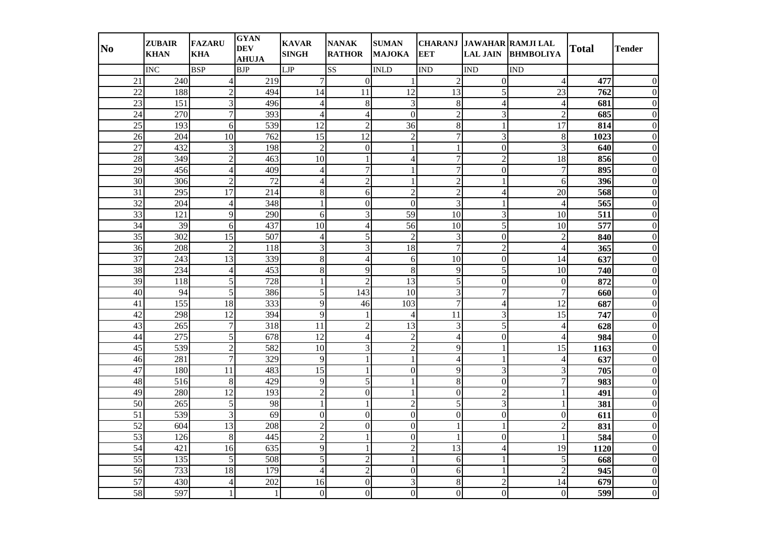| N <sub>0</sub>  | <b>ZUBAIR</b><br><b>KHAN</b> | <b>FAZARU</b><br><b>KHA</b> | <b>GYAN</b><br><b>DEV</b><br><b>AHUJA</b> | <b>KAVAR</b><br><b>SINGH</b> | <b>NANAK</b><br><b>RATHOR</b> | <b>SUMAN</b><br><b>MAJOKA</b> | <b>EET</b>               | <b>LAL JAIN</b>  | CHARANJ JAWAHAR RAMJI LAL<br><b>BHMBOLIYA</b> | <b>Total</b> | Tender   |
|-----------------|------------------------------|-----------------------------|-------------------------------------------|------------------------------|-------------------------------|-------------------------------|--------------------------|------------------|-----------------------------------------------|--------------|----------|
|                 | <b>INC</b>                   | <b>BSP</b>                  | <b>BJP</b>                                | <b>LJP</b>                   | SS <sub>1</sub>               | <b>INLD</b>                   | <b>IND</b>               | <b>IND</b>       | <b>IND</b>                                    |              |          |
| 21              | 240                          | $\overline{4}$              | 219                                       | 7                            | $\overline{0}$                |                               | $\overline{2}$           | $\boldsymbol{0}$ | $\overline{4}$                                | 477          |          |
| $\overline{22}$ | 188                          | $\overline{c}$              | 494                                       | 14                           | 11                            | 12                            | 13                       | 5                | 23                                            | 762          |          |
| $\overline{23}$ | 151                          | 3                           | 496                                       | 4                            | 8                             | 3                             | $\,8\,$                  | 4                | 4                                             | 681          |          |
| 24              | 270                          | $\overline{7}$              | 393                                       | $\overline{4}$               | $\overline{\mathcal{L}}$      | $\Omega$                      | $\overline{2}$           | $\overline{3}$   | $\overline{c}$                                | 685          |          |
| 25              | 193                          | 6                           | 539                                       | 12                           | $\overline{2}$                | 36                            | 8                        | $\mathbf{1}$     | 17                                            | 814          | 0        |
| 26              | 204                          | 10                          | 762                                       | 15                           | 12                            | $\overline{2}$                | $\overline{7}$           | 3                | $\,8\,$                                       | 1023         |          |
| 27              | 432                          | 3                           | 198                                       | $\overline{2}$               | $\Omega$                      |                               |                          | $\Omega$         | 3                                             | 640          |          |
| 28              | 349                          | $\overline{2}$              | 463                                       | 10                           |                               | 4                             | $\boldsymbol{7}$         | $\overline{2}$   | 18                                            | 856          |          |
| 29              | 456                          | $\overline{4}$              | 409                                       | $\overline{4}$               | 7                             |                               | $\overline{7}$           | $\overline{0}$   | 7                                             | 895          |          |
| 30              | 306                          | $\overline{2}$              | 72                                        | 4                            | $\overline{2}$                |                               | $\overline{2}$           | 1                | 6                                             | 396          |          |
| 31              | 295                          | 17                          | 214                                       | 8                            | 6                             | $\overline{c}$                | $\overline{2}$           | $\overline{4}$   | 20                                            | 568          |          |
| 32              | 204                          | $\overline{4}$              | 348                                       | 1                            | $\Omega$                      | $\Omega$                      | 3                        | 1                | $\overline{4}$                                | 565          |          |
| 33              | 121                          | 9                           | 290                                       | 6                            | 3                             | 59                            | 10                       | 3                | 10                                            | 511          |          |
| 34              | 39                           | 6                           | 437                                       | 10                           | Δ                             | 56                            | 10                       | 5                | 10                                            | 577          |          |
| 35              | 302                          | 15                          | 507                                       | $\overline{4}$               | 5                             | $\overline{2}$                | 3                        | $\overline{0}$   | $\overline{2}$                                | 840          |          |
| 36              | 208                          | $\overline{c}$              | 118                                       | 3                            | 3                             | 18                            | $\overline{7}$           | $\overline{2}$   | $\overline{4}$                                | 365          |          |
| $\overline{37}$ | 243                          | $\overline{13}$             | 339                                       | 8                            | 4                             | 6                             | 10                       | $\boldsymbol{0}$ | 14                                            | 637          |          |
| $\overline{38}$ | 234                          | $\overline{4}$              | 453                                       | 8                            | 9                             | 8                             | 9                        | $\overline{5}$   | 10                                            | 740          |          |
| 39              | 118                          | 5                           | 728                                       | 1                            | $\mathcal{D}_{\mathcal{A}}$   | 13                            | 5                        | $\overline{0}$   | $\Omega$                                      | 872          |          |
| 40              | 94                           | 5                           | 386                                       | 5                            | 143                           | 10                            | 3                        | 7                | 7                                             | 660          |          |
| 41              | 155                          | $\overline{18}$             | 333                                       | 9                            | 46                            | 103                           | 7                        | 4                | 12                                            | 687          |          |
| 42              | 298                          | $\overline{12}$             | 394                                       | 9                            |                               | $\overline{4}$                | 11                       | 3                | $\overline{15}$                               | 747          |          |
| 43              | 265                          | $\overline{7}$              | $\overline{318}$                          | $\overline{11}$              | $\overline{2}$                | 13                            | 3                        | $\overline{5}$   | 4                                             | 628          |          |
| 44              | 275                          | 5                           | 678                                       | $\overline{12}$              | $\overline{4}$                | $\overline{2}$                | $\overline{\mathcal{L}}$ | $\overline{0}$   | $\overline{4}$                                | 984          |          |
| 45              | 539                          | $\overline{c}$              | 582                                       | 10                           | 3                             | $\overline{2}$                | 9                        | $\mathbf{1}$     | 15                                            | 1163         |          |
| 46              | 281                          | $\overline{7}$              | 329                                       | 9                            |                               | $\mathbf{1}$                  | 4                        | $\mathbf{1}$     | 4                                             | 637          |          |
| 47              | 180                          | 11                          | 483                                       | $\overline{15}$              |                               | $\overline{0}$                | 9                        | 3                | 3                                             | 705          |          |
| 48              | 516                          | 8                           | 429                                       | 9                            | 5                             |                               | 8                        | $\overline{0}$   | 7                                             | 983          |          |
| 49              | 280                          | $\overline{12}$             | 193                                       | $\overline{c}$               | $\Omega$                      |                               | $\Omega$                 | $\overline{c}$   |                                               | 491          |          |
| $\overline{50}$ | 265                          | 5                           | 98                                        | 1                            |                               | $\overline{2}$                | 5                        | 3                |                                               | 381          |          |
| $\overline{51}$ | 539                          | 3                           | 69                                        | $\mathbf{0}$                 | $\Omega$                      | $\Omega$                      | $\overline{0}$           | $\overline{0}$   | $\boldsymbol{0}$                              | 611          |          |
| $\overline{52}$ | 604                          | $\overline{13}$             | 208                                       | $\overline{2}$               | $\overline{0}$                | $\Omega$                      |                          | 1                | $\overline{2}$                                | 831          |          |
| 53              | 126                          | 8                           | 445                                       | $\overline{2}$               | 1                             | $\Omega$                      |                          | $\overline{0}$   |                                               | 584          |          |
| 54              | 421                          | 16                          | 635                                       | 9                            |                               | $\overline{2}$                | 13                       | $\overline{4}$   | 19                                            | 1120         | 0        |
| $\overline{55}$ | 135                          | 5                           | 508                                       | 5                            | $\overline{c}$                |                               | 6                        | 1                | 5                                             | 668          | 0        |
| 56              | 733                          | 18                          | 179                                       | $\overline{\mathcal{L}}$     | $\mathcal{D}$                 | $\Omega$                      | 6                        |                  | $\overline{2}$                                | 945          | $\Omega$ |
| 57              | 430                          | $\overline{4}$              | 202                                       | 16                           | $\Omega$                      | 3                             | 8                        | $\overline{2}$   | 14                                            | 679          | 0        |
| 58              | 597                          |                             |                                           | $\overline{0}$               | $\overline{0}$                | $\overline{0}$                | $\overline{0}$           | $\boldsymbol{0}$ | $\overline{0}$                                | 599          | $\Omega$ |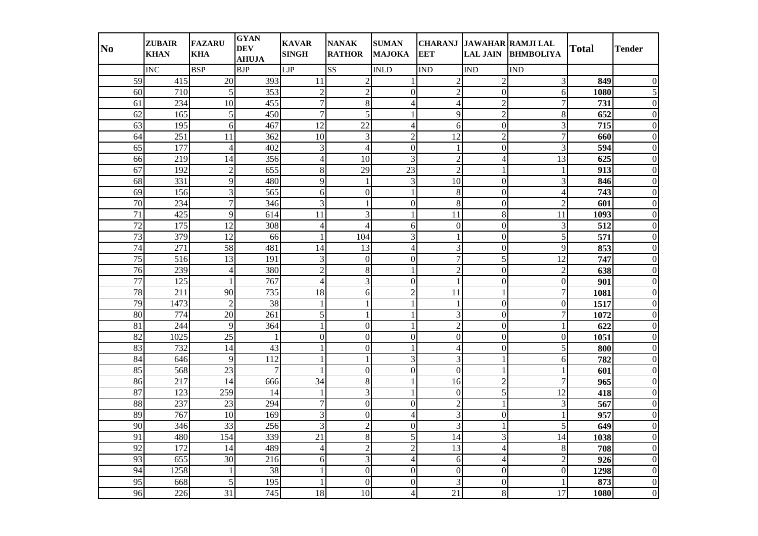| N <sub>0</sub>  | <b>ZUBAIR</b><br><b>KHAN</b> | <b>FAZARU</b><br><b>KHA</b> | <b>GYAN</b><br><b>DEV</b><br><b>AHUJA</b> | <b>KAVAR</b><br><b>SINGH</b> | <b>NANAK</b><br><b>RATHOR</b> | <b>SUMAN</b><br><b>MAJOKA</b> | <b>EET</b>                  |                          | CHARANJ JAWAHAR RAMJI LAL<br>LAL JAIN BHMBOLIYA | <b>Total</b> | Tender |
|-----------------|------------------------------|-----------------------------|-------------------------------------------|------------------------------|-------------------------------|-------------------------------|-----------------------------|--------------------------|-------------------------------------------------|--------------|--------|
|                 | <b>INC</b>                   | <b>BSP</b>                  | <b>BJP</b>                                | <b>LJP</b>                   | <b>SS</b>                     | <b>INLD</b>                   | $\mathop{\rm IND}\nolimits$ | <b>IND</b>               | <b>IND</b>                                      |              |        |
| 59              | $\overline{415}$             | $20\,$                      | 393                                       | 11                           | $\overline{2}$                |                               | $\overline{2}$              | $\overline{2}$           | 3                                               | 849          |        |
| 60              | 710                          | $\sqrt{5}$                  | 353                                       | $\overline{2}$               | $\overline{2}$                | $\Omega$                      | $\overline{2}$              | $\overline{0}$           | 6                                               | 1080         |        |
| 61              | 234                          | 10                          | 455                                       | $\tau$                       | 8                             | 4                             | 4                           | $\overline{2}$           | 7                                               | 731          |        |
| 62              | 165                          | 5                           | 450                                       | $\overline{7}$               | 5                             |                               | 9                           | $\overline{2}$           | 8                                               | 652          |        |
| 63              | 195                          | 6                           | 467                                       | 12                           | 22                            | Δ                             | 6                           | $\overline{0}$           | 3                                               | 715          |        |
| 64              | 251                          | 11                          | 362                                       | 10                           | 3                             | $\overline{c}$                | 12                          | $\overline{2}$           | $\overline{7}$                                  | 660          |        |
| 65              | 177                          | $\overline{4}$              | 402                                       | 3                            | 4                             | $\Omega$                      | -1                          | $\Omega$                 | 3                                               | 594          |        |
| 66              | 219                          | 14                          | 356                                       | $\overline{\mathcal{L}}$     | 10                            | 3                             | $\overline{c}$              | $\overline{4}$           | 13                                              | 625          |        |
| 67              | 192                          | $\overline{2}$              | 655                                       | 8                            | 29                            | 23                            | $\overline{2}$              |                          |                                                 | 913          |        |
| 68              | 331                          | 9                           | 480                                       | 9                            | $\mathbf{1}$                  | 3                             | 10                          | $\overline{0}$           | 3                                               | 846          |        |
| 69              | 156                          | 3                           | 565                                       | 6                            | $\Omega$                      |                               | $\,8\,$                     | $\Omega$                 | $\overline{4}$                                  | 743          |        |
| 70              | 234                          | $\overline{7}$              | 346                                       | 3                            |                               | $\Omega$                      | 8                           | $\Omega$                 | $\overline{2}$                                  | 601          |        |
| $\overline{71}$ | 425                          | 9                           | 614                                       | 11                           | 3                             |                               | 11                          | 8                        | 11                                              | 1093         |        |
| 72              | 175                          | 12                          | 308                                       | 4                            |                               | 6                             | $\theta$                    | $\overline{0}$           | 3                                               | 512          |        |
| $\overline{73}$ | 379                          | 12                          | 66                                        | $\mathbf{1}$                 | 104                           | 3                             |                             | $\overline{0}$           | 5                                               | 571          |        |
| 74              | 271                          | 58                          | 481                                       | 14                           | 13                            | 4                             | 3                           | $\overline{0}$           | 9                                               | 853          |        |
| $\overline{75}$ | 516                          | $\overline{13}$             | 191                                       | 3                            | $\Omega$                      | $\Omega$                      | $\overline{7}$              | 5                        | 12                                              | 747          |        |
| 76              | 239                          | $\overline{4}$              | 380                                       | $\overline{2}$               | 8                             |                               | $\overline{2}$              | $\overline{0}$           | $\overline{2}$                                  | 638          |        |
| $\overline{77}$ | $\overline{125}$             | $\mathbf{1}$                | $\overline{767}$                          | $\overline{4}$               | 3                             | $\Omega$                      |                             | $\overline{0}$           | $\Omega$                                        | 901          |        |
| 78              | 211                          | 90                          | 735                                       | 18                           | 6                             | $\overline{2}$                | 11                          |                          | $\overline{7}$                                  | 1081         |        |
| 79              | 1473                         | $\overline{2}$              | 38                                        | $\mathbf{1}$                 |                               |                               |                             | $\theta$                 | $\Omega$                                        | 1517         |        |
| 80              | 774                          | $\overline{20}$             | $\overline{261}$                          | 5                            |                               |                               | 3                           | $\overline{0}$           | 7                                               | 1072         |        |
| 81              | 244                          | 9                           | 364                                       | $\mathbf{1}$                 | $\overline{0}$                |                               | $\overline{2}$              | $\overline{0}$           |                                                 | 622          |        |
| $\overline{82}$ | 1025                         | $\overline{25}$             | $\mathbf{1}$                              | $\Omega$<br>$\mathbf{1}$     | $\Omega$                      | $\Omega$                      | $\overline{0}$              | $\overline{0}$           | $\Omega$                                        | 1051         |        |
| 83<br>84        | 732                          | 14                          | 43<br>112                                 |                              | $\overline{0}$                |                               | $\overline{4}$              | $\overline{0}$           | 5                                               | 800<br>782   |        |
| 85              | 646<br>568                   | 9<br>$\overline{23}$        | $\overline{7}$                            | 1<br>$\mathbf{1}$            | $\overline{0}$                | 3<br>$\Omega$                 | 3<br>$\mathbf{0}$           | 1<br>1                   | 6                                               | 601          |        |
| 86              | 217                          | 14                          | 666                                       | 34                           | 8                             |                               | 16                          | $\overline{2}$           |                                                 | 965          |        |
| 87              | 123                          | 259                         | 14                                        | 1                            | 3                             |                               | $\mathbf{0}$                | 5                        | 12                                              | 418          |        |
| 88              | 237                          | 23                          | 294                                       | $\tau$                       | $\Omega$                      | $\Omega$                      | $\overline{2}$              | 1                        | 3                                               | 567          |        |
| 89              | 767                          | 10                          | 169                                       | 3                            | $\Omega$                      | 4                             | 3                           | $\theta$                 |                                                 | 957          |        |
| 90              | 346                          | $\overline{33}$             | 256                                       | 3                            | $\overline{2}$                | $\Omega$                      | 3                           | 1                        | 5                                               | 649          |        |
| 91              | 480                          | 154                         | 339                                       | $\overline{21}$              | 8                             | 5                             | 14                          | 3                        | 14                                              | 1038         |        |
| 92              | 172                          | 14                          | 489                                       | $\overline{4}$               | $\overline{2}$                | $\overline{2}$                | 13                          | $\overline{4}$           | 8                                               | 708          |        |
| 93              | 655                          | 30                          | 216                                       | 6                            | 3                             | 4                             | 6                           | $\overline{\mathcal{L}}$ | 2                                               | 926          |        |
| 94              | 1258                         |                             | 38                                        | 1                            | $\Omega$                      | $\Omega$                      | $\overline{0}$              | $\overline{0}$           | $\boldsymbol{0}$                                | 1298         |        |
| 95              | 668                          | 5                           | 195                                       | $\mathbf{1}$                 | $\Omega$                      | $\Omega$                      | 3                           | $\theta$                 |                                                 | 873          |        |
| 96              | 226                          | 31                          | 745                                       | 18                           | 10                            | 4                             | 21                          | 8                        | 17                                              | 1080         | 0      |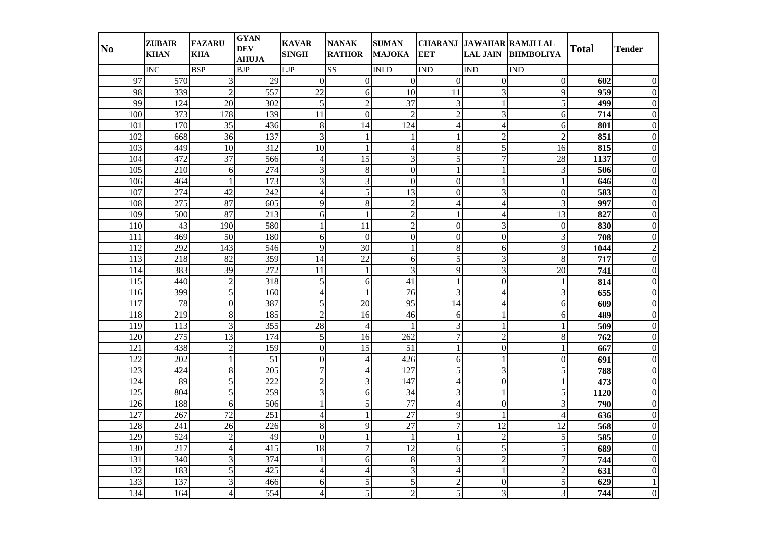| N <sub>0</sub> | <b>ZUBAIR</b><br><b>KHAN</b> | <b>FAZARU</b><br><b>KHA</b> | <b>GYAN</b><br><b>DEV</b><br><b>AHUJA</b> | <b>KAVAR</b><br><b>SINGH</b> | <b>NANAK</b><br><b>RATHOR</b> | <b>SUMAN</b><br><b>MAJOKA</b> | <b>EET</b>               | <b>LAL JAIN</b>  | CHARANJ JAWAHAR RAMJI LAL<br><b>BHMBOLIYA</b> | <b>Total</b> | Tender   |
|----------------|------------------------------|-----------------------------|-------------------------------------------|------------------------------|-------------------------------|-------------------------------|--------------------------|------------------|-----------------------------------------------|--------------|----------|
|                | <b>INC</b>                   | <b>BSP</b>                  | <b>BJP</b>                                | LJP                          | SS <sub>1</sub>               | <b>INLD</b>                   | <b>IND</b>               | <b>IND</b>       | <b>IND</b>                                    |              |          |
| 97             | 570                          | 3                           | 29                                        | $\Omega$                     | $\Omega$                      | $\Omega$                      | $\mathbf{0}$             | $\boldsymbol{0}$ | $\overline{0}$                                | 602          |          |
| 98             | 339                          | $\overline{c}$              | 557                                       | 22                           | 6                             | 10                            | 11                       | 3                | 9                                             | 959          |          |
| 99             | 124                          | 20                          | 302                                       | 5                            | $\overline{2}$                | $\overline{37}$               | 3                        |                  | 5                                             | 499          |          |
| 100            | 373                          | 178                         | 139                                       | 11                           | $\Omega$                      | $\overline{2}$                | $\overline{2}$           | $\overline{3}$   | 6                                             | 714          |          |
| 101            | 170                          | 35                          | 436                                       | $\,8\,$                      | 14                            | 124                           | 4                        | $\overline{4}$   | 6                                             | 801          | 0        |
| 102            | 668                          | 36                          | 137                                       | 3                            |                               |                               |                          | $\overline{c}$   | $\overline{2}$                                | 851          |          |
| 103            | 449                          | 10                          | 312                                       | 10                           |                               | 4                             | $8\,$                    | 5                | 16                                            | 815          |          |
| 104            | 472                          | 37                          | 566                                       | $\overline{\mathcal{L}}$     | 15                            | 3                             | 5                        | $\overline{7}$   | 28                                            | 1137         |          |
| 105            | 210                          | 6                           | 274                                       | 3                            | 8                             | $\Omega$                      |                          | 1                | 3                                             | 506          |          |
| 106            | 464                          | $\mathbf{1}$                | 173                                       | 3                            | 3                             | $\Omega$                      | $\overline{0}$           | 1                |                                               | 646          |          |
| 107            | 274                          | 42                          | 242                                       | $\overline{4}$               | 5                             | 13                            | $\Omega$                 | 3                | $\Omega$                                      | 583          |          |
| 108            | 275                          | 87                          | 605                                       | 9                            | 8                             | $\overline{2}$                | 4                        | 4                | 3                                             | 997          |          |
| 109            | 500                          | 87                          | 213                                       | 6                            |                               | $\overline{c}$                |                          | $\overline{4}$   | 13                                            | 827          |          |
| 110            | 43                           | 190                         | 580                                       | 1                            | 11                            | $\overline{2}$                | $\Omega$                 | 3                | $\Omega$                                      | 830          |          |
| 111            | 469                          | 50                          | 180                                       | 6                            | $\Omega$                      | $\overline{0}$                | $\overline{0}$           | $\overline{0}$   | 3                                             | 708          | ∩        |
| 112            | 292                          | 143                         | 546                                       | 9                            | 30                            | $\mathbf{1}$                  | $\bf 8$                  | 6                | 9                                             | 1044         |          |
| 113            | 218                          | 82                          | 359                                       | 14                           | $\overline{22}$               | 6                             | 5                        | 3                | 8                                             | 717          |          |
| 114            | 383                          | 39                          | $\overline{272}$                          | 11                           | $\mathbf{1}$                  | $\overline{3}$                | 9                        | $\overline{3}$   | 20                                            | 741          |          |
| 115            | 440                          | $\overline{2}$              | 318                                       | 5                            | 6                             | 41                            | $\mathbf{1}$             | $\overline{0}$   |                                               | 814          |          |
| 116            | 399                          | 5                           | 160                                       | $\overline{\mathcal{L}}$     |                               | 76                            | 3                        | $\overline{4}$   | 3                                             | 655          |          |
| 117            | 78                           | $\Omega$                    | 387                                       | 5                            | 20                            | 95                            | 14                       | 4                | 6                                             | 609          |          |
| 118            | 219                          | 8                           | 185                                       | $\overline{2}$               | 16                            | 46                            | 6                        | 1                | 6                                             | 489          |          |
| 119            | 113                          | $\overline{3}$              | 355                                       | 28                           | $\overline{4}$                |                               | 3                        |                  |                                               | 509          |          |
| 120            | 275                          | $\overline{13}$             | 174                                       | 5                            | 16                            | 262                           | $\boldsymbol{7}$         | $\overline{2}$   | 8                                             | 762          | U        |
| 121            | 438                          | $\overline{2}$              | 159                                       | $\overline{0}$               | 15                            | 51                            | $\mathbf{1}$             | $\overline{0}$   |                                               | 667          |          |
| 122            | 202                          | $\mathbf{1}$                | 51                                        | $\Omega$                     | 4                             | 426                           | 6                        | 1                | $\Omega$                                      | 691          | 0        |
| 123            | 424                          | 8                           | 205                                       | $\overline{7}$               | 4                             | 127                           | 5                        | 3                | 5                                             | 788          |          |
| 124            | 89                           | $\overline{5}$              | $\overline{222}$                          | $\overline{2}$               | 3                             | 147                           | 4                        | $\overline{0}$   |                                               | 473          |          |
| 125            | 804                          | 5                           | 259                                       | 3                            | 6                             | 34                            | 3                        |                  | 5                                             | 1120         |          |
| 126            | 188                          | 6                           | 506                                       | 1                            | 5                             | 77                            | 4                        | $\Omega$         | 3                                             | 790          |          |
| 127            | 267                          | $\overline{72}$             | 251                                       | 4                            |                               | 27                            | 9                        | 1                | 4                                             | 636          |          |
| 128            | 241                          | $\overline{26}$             | 226                                       | 8                            | 9                             | $\overline{27}$               | $\overline{7}$           | $\overline{12}$  | 12                                            | 568          |          |
| 129            | 524                          | $\overline{2}$              | 49                                        | $\Omega$                     | 1                             | $\mathbf{1}$                  | $\mathbf{1}$             | $\overline{2}$   | 5                                             | 585          | 0        |
| 130            | 217                          | $\overline{4}$              | 415                                       | 18                           | $\overline{7}$                | 12                            | 6                        | 5                | 5                                             | 689          | 0        |
| 131            | 340                          | 3                           | 374                                       | 1                            | 6                             | 8                             | 3                        | $\overline{2}$   | 7                                             | 744          | 0        |
| 132            | 183                          | 5                           | 425                                       | 4                            | 4                             | 3                             | $\overline{\mathcal{L}}$ |                  | $\overline{c}$                                | 631          | $\Omega$ |
| 133            | 137                          | 3                           | 466                                       | 6                            | 5                             | 5                             | $\overline{2}$           | $\theta$         | 5                                             | 629          |          |
| 134            | 164                          | $\overline{4}$              | 554                                       | $\vert 4 \vert$              | 5                             | $\overline{2}$                | $\vert$                  | 3                | 3                                             | 744          | 0        |